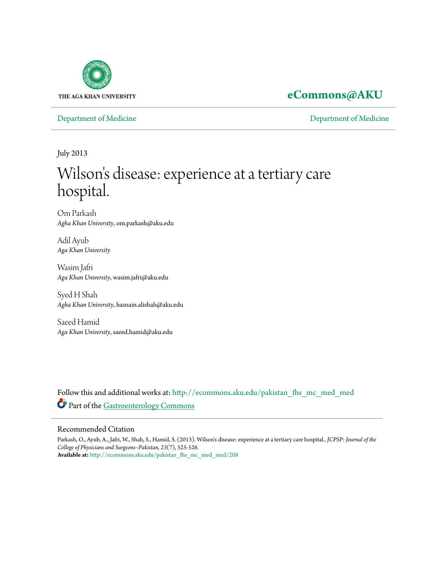

### **[eCommons@AKU](http://ecommons.aku.edu?utm_source=ecommons.aku.edu%2Fpakistan_fhs_mc_med_med%2F208&utm_medium=PDF&utm_campaign=PDFCoverPages)**

[Department of Medicine](http://ecommons.aku.edu/pakistan_fhs_mc_med_med?utm_source=ecommons.aku.edu%2Fpakistan_fhs_mc_med_med%2F208&utm_medium=PDF&utm_campaign=PDFCoverPages) [Department of Medicine](http://ecommons.aku.edu/pakistan_fhs_mc_med?utm_source=ecommons.aku.edu%2Fpakistan_fhs_mc_med_med%2F208&utm_medium=PDF&utm_campaign=PDFCoverPages)

July 2013

# Wilson 's disease: experience at a tertiary care hospital.

Om Parkash *Agha Khan University*, om.parkash@aku.edu

Adil Ayub *Aga Khan University*

Wasim Jafri *Aga Khan University*, wasim.jafri@aku.edu

Syed H Shah *Agha Khan University*, hasnain.alishah@aku.edu

Saeed Hamid *Aga Khan University*, saeed.hamid@aku.edu

Follow this and additional works at: [http://ecommons.aku.edu/pakistan\\_fhs\\_mc\\_med\\_med](http://ecommons.aku.edu/pakistan_fhs_mc_med_med?utm_source=ecommons.aku.edu%2Fpakistan_fhs_mc_med_med%2F208&utm_medium=PDF&utm_campaign=PDFCoverPages) Part of the [Gastroenterology Commons](http://network.bepress.com/hgg/discipline/687?utm_source=ecommons.aku.edu%2Fpakistan_fhs_mc_med_med%2F208&utm_medium=PDF&utm_campaign=PDFCoverPages)

### Recommended Citation

Parkash, O., Ayub, A., Jafri, W., Shah, S., Hamid, S. (2013). Wilson's disease: experience at a tertiary care hospital.. *JCPSP: Journal of the College of Physicians and Surgeons--Pakistan, 23*(7), 525-526. **Available at:** [http://ecommons.aku.edu/pakistan\\_fhs\\_mc\\_med\\_med/208](http://ecommons.aku.edu/pakistan_fhs_mc_med_med/208)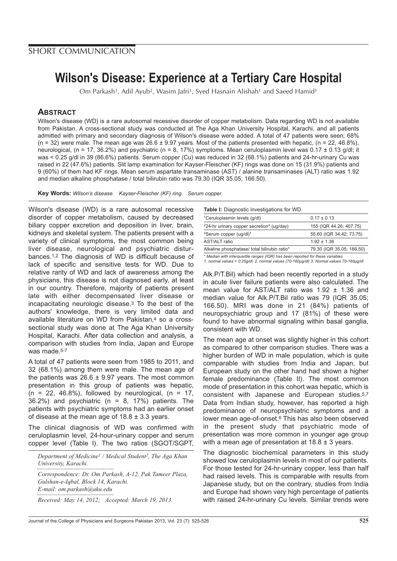## **Wilson's Disease: Experience at a Tertiary Care Hospital**

Om Parkash<sup>1</sup>, Adil Ayub<sup>2</sup>, Wasim Jafri<sup>1</sup>, Syed Hasnain Alishah<sup>1</sup> and Saeed Hamid<sup>1</sup>

### **ABSTRACT**

Wilson's disease (WD) is a rare autosomal recessive disorder of copper metabolism. Data regarding WD is not available from Pakistan. A cross-sectional study was conducted at The Aga Khan University Hospital, Karachi, and all patients admitted with primary and secondary diagnosis of Wilson's disease were added. A total of 47 patients were seen; 68%  $(n = 32)$  were male. The mean age was 26.6 ± 9.97 years. Most of the patients presented with hepatic,  $(n = 22, 46.8\%)$ , neurological, (n = 17, 36.2%) and psychiatric (n = 8, 17%) symptoms. Mean ceruloplasmin level was  $0.17 \pm 0.13$  g/dl; it was < 0.25 g/dl in 39 (86.6%) patients. Serum copper (Cu) was reduced in 32 (68.1%) patients and 24-hr-urinary Cu was raised in 22 (47.6%) patients. Slit lamp examination for Kayser-Fleischer (KF) rings was done on 15 (31.9%) patients and 9 (60%) of them had KF rings. Mean serum aspartate transaminase (AST) / alanine transaminases (ALT) ratio was 1.92 and median alkaline phosphatase / total bilirubin ratio was 79.30 (IQR 35.05; 166.50).

**Key Words:** Wilson's disease. Kayser-Fleischer (KF) ring. Serum copper.

Wilson's disease (WD) is a rare autosomal recessive disorder of copper metabolism, caused by decreased biliary copper excretion and deposition in liver, brain, kidneys and skeletal system. The patients present with a variety of clinical symptoms, the most common being liver disease, neurological and psychiatric disturbances.1,2 The diagnosis of WD is difficult because of lack of specific and sensitive tests for WD. Due to relative rarity of WD and lack of awareness among the physicians, this disease is not diagnosed early, at least in our country. Therefore, majority of patients present late with either decompensated liver disease or incapacitating neurologic disease.3 To the best of the authors' knowledge, there is very limited data and available literature on WD from Pakistan,4 so a crosssectional study was done at The Aga Khan University Hospital, Karachi. After data collection and analysis, a comparison with studies from India, Japan and Europe was made.<sup>5-7</sup>

A total of 47 patients were seen from 1985 to 2011, and 32 (68.1%) among them were male. The mean age of the patients was  $26.6 \pm 9.97$  years. The most common presentation in this group of patients was hepatic,  $(n = 22, 46.8\%)$ , followed by neurological,  $(n = 17,$ 36.2%) and psychiatric ( $n = 8$ , 17%) patients. The patients with psychiatric symptoms had an earlier onset of disease at the mean age of  $18.8 \pm 3.3$  years.

The clinical diagnosis of WD was confirmed with ceruloplasmin level, 24-hour-urinary copper and serum copper level (Table I). The two ratios (SGOT/SGPT,

*Department of Medicine1 / Medical Student2, The Aga Khan University, Karachi.*

*Correspondence: Dr. Om Parkash, A-12, Pak Tameer Plaza, Gulshan-e-Iqbal, Block 14, Karachi. E-mail: om.parkash@aku.edu*

*Received: May 14, 2012; Accepted: March 19, 2013.*

| <b>Table I:</b> Diagnostic investigations for WD.                              |                           |  |  |  |
|--------------------------------------------------------------------------------|---------------------------|--|--|--|
| <sup>1</sup> Ceruloplasmin levels (q/dl)                                       | $0.17 \pm 0.13$           |  |  |  |
| $224$ -hr urinary copper secretion* (ug/day)                                   | 155 (IQR 44.26; 407.75)   |  |  |  |
| <sup>3</sup> Serum copper (ug/dl)*                                             | 55.60 (IQR 34.42; 73.75)  |  |  |  |
| <b>AST/ALT</b> ratio                                                           | $1.92 \pm 1.36$           |  |  |  |
| Alkaline phosphatase/ total bilirubin ratio*                                   | 79.30 (IQR 35.05; 166.50) |  |  |  |
| * Modian with interguartile ranges (IOP) has been reported for these variables |                           |  |  |  |

\* Median with interquartile ranges (IQR) has been reported for these variables 1. normal values > 0.25g/dl, 2. normal values (70-160µg/dl) 3. Normal values 70-160µg/dl

Alk.P/T.Bil) which had been recently reported in a study in acute liver failure patients were also calculated. The mean value for AST/ALT ratio was 1.92 ± 1.36 and median value for Alk.P/T.Bil ratio was 79 (IQR 35.05; 166.50). MRI was done in 21 (84%) patients of neuropsychiatric group and 17 (81%) of these were found to have abnormal signaling within basal ganglia, consistent with WD.

The mean age at onset was slightly higher in this cohort as compared to other comparison studies. There was a higher burden of WD in male population, which is quite comparable with studies from India and Japan, but European study on the other hand had shown a higher female predominance (Table II). The most common mode of presentation in this cohort was hepatic, which is consistent with Japanese and European studies.5,7 Data from Indian study, however, has reported a high predominance of neuropsychiatric symptoms and a lower mean age-of-onset.<sup>6</sup> This has also been observed in the present study that psychiatric mode of presentation was more common in younger age group with a mean age of presentation at 18.8 ± 3 years.

The diagnostic biochemical parameters in this study showed low ceruloplasmin levels in most of our patients. For those tested for 24-hr-urinary copper, less than half had raised levels. This is comparable with results from Japanese study, but on the contrary, studies from India and Europe had shown very high percentage of patients with raised 24-hr-urinary Cu levels. Similar trends were